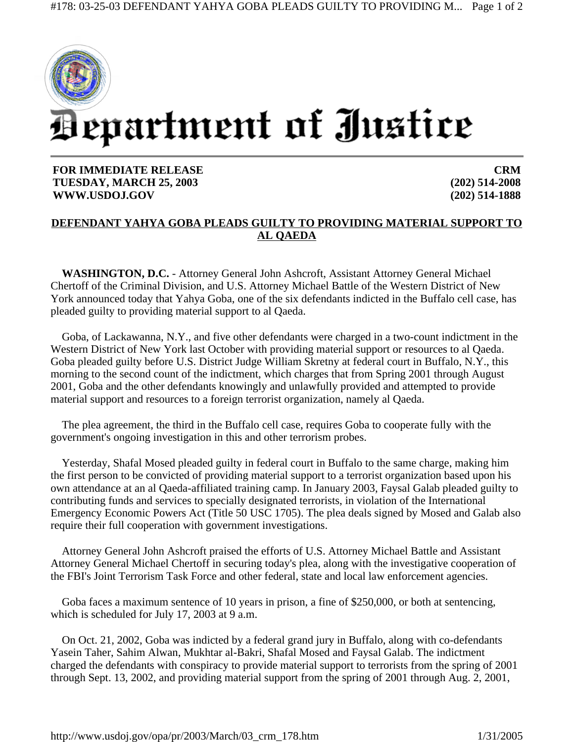

**FOR IMMEDIATE RELEASE TUESDAY, MARCH 25, 2003 WWW.USDOJ.GOV** 

**CRM (202) 514-2008 (202) 514-1888**

## **DEFENDANT YAHYA GOBA PLEADS GUILTY TO PROVIDING MATERIAL SUPPORT TO AL QAEDA**

**WASHINGTON, D.C.** - Attorney General John Ashcroft, Assistant Attorney General Michael Chertoff of the Criminal Division, and U.S. Attorney Michael Battle of the Western District of New York announced today that Yahya Goba, one of the six defendants indicted in the Buffalo cell case, has pleaded guilty to providing material support to al Qaeda.

Goba, of Lackawanna, N.Y., and five other defendants were charged in a two-count indictment in the Western District of New York last October with providing material support or resources to al Qaeda. Goba pleaded guilty before U.S. District Judge William Skretny at federal court in Buffalo, N.Y., this morning to the second count of the indictment, which charges that from Spring 2001 through August 2001, Goba and the other defendants knowingly and unlawfully provided and attempted to provide material support and resources to a foreign terrorist organization, namely al Qaeda.

The plea agreement, the third in the Buffalo cell case, requires Goba to cooperate fully with the government's ongoing investigation in this and other terrorism probes.

Yesterday, Shafal Mosed pleaded guilty in federal court in Buffalo to the same charge, making him the first person to be convicted of providing material support to a terrorist organization based upon his own attendance at an al Qaeda-affiliated training camp. In January 2003, Faysal Galab pleaded guilty to contributing funds and services to specially designated terrorists, in violation of the International Emergency Economic Powers Act (Title 50 USC 1705). The plea deals signed by Mosed and Galab also require their full cooperation with government investigations.

Attorney General John Ashcroft praised the efforts of U.S. Attorney Michael Battle and Assistant Attorney General Michael Chertoff in securing today's plea, along with the investigative cooperation of the FBI's Joint Terrorism Task Force and other federal, state and local law enforcement agencies.

Goba faces a maximum sentence of 10 years in prison, a fine of \$250,000, or both at sentencing, which is scheduled for July 17, 2003 at 9 a.m.

On Oct. 21, 2002, Goba was indicted by a federal grand jury in Buffalo, along with co-defendants Yasein Taher, Sahim Alwan, Mukhtar al-Bakri, Shafal Mosed and Faysal Galab. The indictment charged the defendants with conspiracy to provide material support to terrorists from the spring of 2001 through Sept. 13, 2002, and providing material support from the spring of 2001 through Aug. 2, 2001,